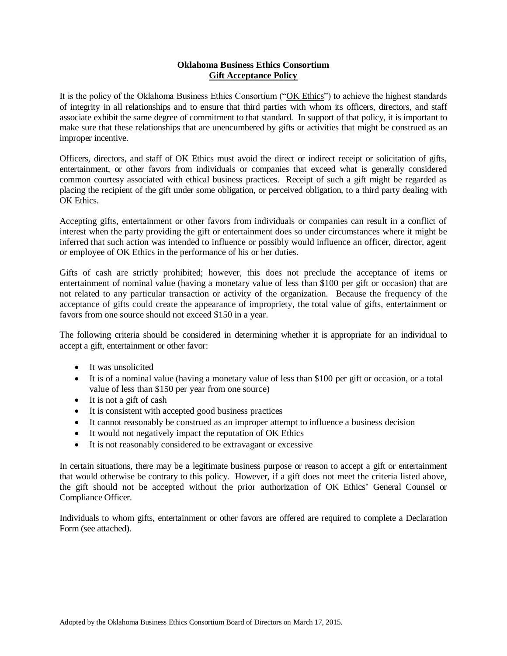#### **Oklahoma Business Ethics Consortium Gift Acceptance Policy**

It is the policy of the Oklahoma Business Ethics Consortium ("OK Ethics") to achieve the highest standards of integrity in all relationships and to ensure that third parties with whom its officers, directors, and staff associate exhibit the same degree of commitment to that standard. In support of that policy, it is important to make sure that these relationships that are unencumbered by gifts or activities that might be construed as an improper incentive.

Officers, directors, and staff of OK Ethics must avoid the direct or indirect receipt or solicitation of gifts, entertainment, or other favors from individuals or companies that exceed what is generally considered common courtesy associated with ethical business practices. Receipt of such a gift might be regarded as placing the recipient of the gift under some obligation, or perceived obligation, to a third party dealing with OK Ethics.

Accepting gifts, entertainment or other favors from individuals or companies can result in a conflict of interest when the party providing the gift or entertainment does so under circumstances where it might be inferred that such action was intended to influence or possibly would influence an officer, director, agent or employee of OK Ethics in the performance of his or her duties.

Gifts of cash are strictly prohibited; however, this does not preclude the acceptance of items or entertainment of nominal value (having a monetary value of less than \$100 per gift or occasion) that are not related to any particular transaction or activity of the organization. Because the frequency of the acceptance of gifts could create the appearance of impropriety, the total value of gifts, entertainment or favors from one source should not exceed \$150 in a year.

The following criteria should be considered in determining whether it is appropriate for an individual to accept a gift, entertainment or other favor:

- It was unsolicited
- It is of a nominal value (having a monetary value of less than \$100 per gift or occasion, or a total value of less than \$150 per year from one source)
- It is not a gift of cash
- It is consistent with accepted good business practices
- It cannot reasonably be construed as an improper attempt to influence a business decision
- It would not negatively impact the reputation of OK Ethics
- It is not reasonably considered to be extravagant or excessive

In certain situations, there may be a legitimate business purpose or reason to accept a gift or entertainment that would otherwise be contrary to this policy. However, if a gift does not meet the criteria listed above, the gift should not be accepted without the prior authorization of OK Ethics' General Counsel or Compliance Officer.

Individuals to whom gifts, entertainment or other favors are offered are required to complete a Declaration Form (see attached).